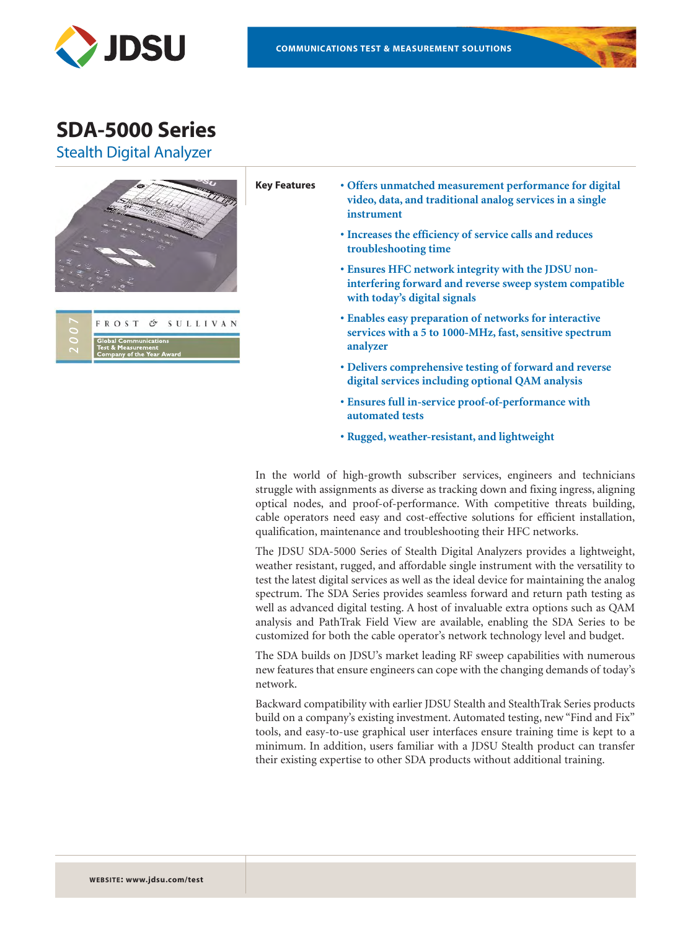



Stealth Digital Analyzer





- **Key Features Offers unmatched measurement performance for digital video, data, and traditional analog services in a single instrument**
	- **Increases the efficiency of service calls and reduces troubleshooting time**
	- **Ensures HFC network integrity with the JDSU noninterfering forward and reverse sweep system compatible with today's digital signals**
	- **Enables easy preparation of networks for interactive services with a 5 to 1000-MHz, fast, sensitive spectrum analyzer**
	- **Delivers comprehensive testing of forward and reverse digital services including optional QAM analysis**
	- **Ensures full in-service proof-of-performance with automated tests**
	- **Rugged, weather-resistant, and lightweight**

In the world of high-growth subscriber services, engineers and technicians struggle with assignments as diverse as tracking down and fixing ingress, aligning optical nodes, and proof-of-performance. With competitive threats building, cable operators need easy and cost-effective solutions for efficient installation, qualification, maintenance and troubleshooting their HFC networks.

The JDSU SDA-5000 Series of Stealth Digital Analyzers provides a lightweight, weather resistant, rugged, and affordable single instrument with the versatility to test the latest digital services as well as the ideal device for maintaining the analog spectrum. The SDA Series provides seamless forward and return path testing as well as advanced digital testing. A host of invaluable extra options such as QAM analysis and PathTrak Field View are available, enabling the SDA Series to be customized for both the cable operator's network technology level and budget.

The SDA builds on JDSU's market leading RF sweep capabilities with numerous new features that ensure engineers can cope with the changing demands of today's network.

Backward compatibility with earlier JDSU Stealth and StealthTrak Series products build on a company's existing investment. Automated testing, new "Find and Fix" tools, and easy-to-use graphical user interfaces ensure training time is kept to a minimum. In addition, users familiar with a JDSU Stealth product can transfer their existing expertise to other SDA products without additional training.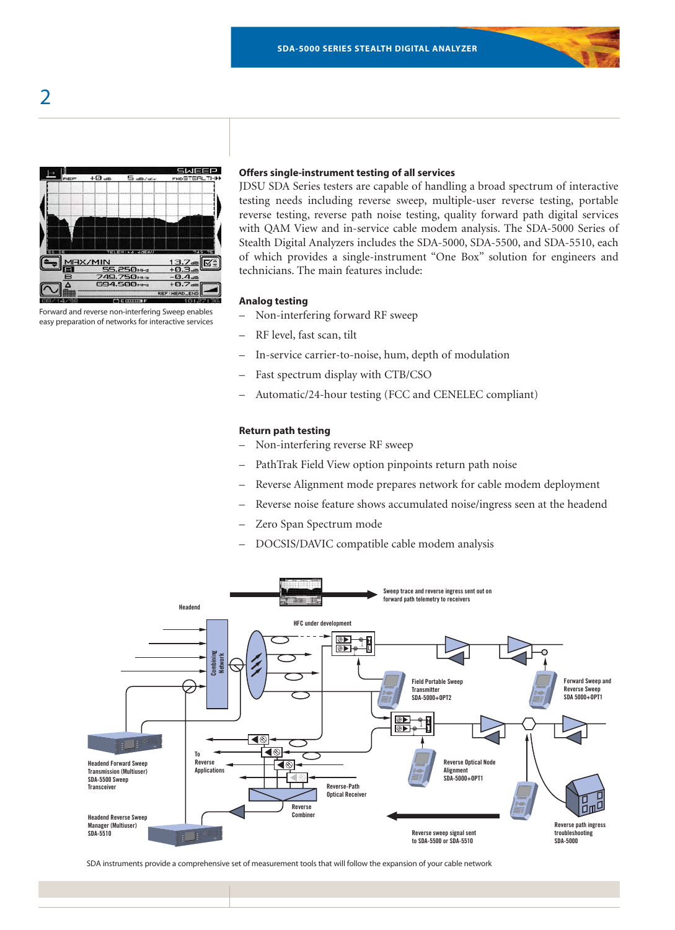

Forward and reverse non-interfering Sweep enables easy preparation of networks for interactive services

### **Offers single-instrument testing of all services**

JDSU SDA Series testers are capable of handling a broad spectrum of interactive testing needs including reverse sweep, multiple-user reverse testing, portable reverse testing, reverse path noise testing, quality forward path digital services with QAM View and in-service cable modem analysis. The SDA-5000 Series of Stealth Digital Analyzers includes the SDA-5000, SDA-5500, and SDA-5510, each of which provides a single-instrument "One Box" solution for engineers and technicians. The main features include:

#### **Analog testing**

- Non-interfering forward RF sweep
- RF level, fast scan, tilt
- In-service carrier-to-noise, hum, depth of modulation
- Fast spectrum display with CTB/CSO
- Automatic/24-hour testing (FCC and CENELEC compliant)

#### **Return path testing**

- Non-interfering reverse RF sweep
- PathTrak Field View option pinpoints return path noise
- Reverse Alignment mode prepares network for cable modem deployment
- Reverse noise feature shows accumulated noise/ingress seen at the headend
- Zero Span Spectrum mode
- DOCSIS/DAVIC compatible cable modem analysis



SDA instruments provide a comprehensive set of measurement tools that will follow the expansion of your cable network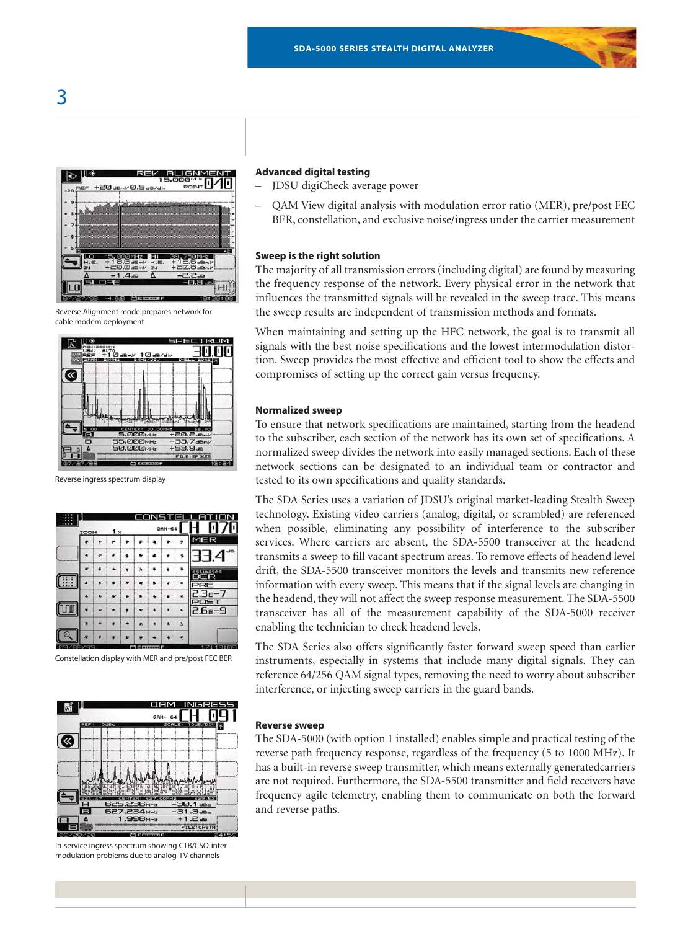



Reverse Alignment mode prepares network for cable modem deployment



Reverse ingress spectrum display

|    |      |           | ſ<br>× | TENC |          |           |              |
|----|------|-----------|--------|------|----------|-----------|--------------|
|    | ZOOM | $1\times$ |        |      | $QAM-64$ |           | П<br>п       |
|    | ٠    |           |        |      |          |           | MER          |
|    |      |           |        |      |          |           | dB<br>੧੶     |
|    |      |           |        |      |          |           | æd           |
| 88 |      |           |        |      |          |           |              |
|    |      |           |        |      |          |           |              |
|    |      |           |        |      |          | ۰         | $6e-9$<br>2. |
|    |      |           | ٠      |      | ۸        | $\lambda$ |              |
|    |      |           |        |      |          |           |              |

Constellation display with MER and pre/post FEC BER



In-service ingress spectrum showing CTB/CSO-intermodulation problems due to analog-TV channels

# **Advanced digital testing**

- JDSU digiCheck average power
- QAM View digital analysis with modulation error ratio (MER), pre/post FEC BER, constellation, and exclusive noise/ingress under the carrier measurement

# **Sweep is the right solution**

The majority of all transmission errors (including digital) are found by measuring the frequency response of the network. Every physical error in the network that influences the transmitted signals will be revealed in the sweep trace. This means the sweep results are independent of transmission methods and formats.

When maintaining and setting up the HFC network, the goal is to transmit all signals with the best noise specifications and the lowest intermodulation distortion. Sweep provides the most effective and efficient tool to show the effects and compromises of setting up the correct gain versus frequency.

## **Normalized sweep**

To ensure that network specifications are maintained, starting from the headend to the subscriber, each section of the network has its own set of specifications. A normalized sweep divides the network into easily managed sections. Each of these network sections can be designated to an individual team or contractor and tested to its own specifications and quality standards.

The SDA Series uses a variation of JDSU's original market-leading Stealth Sweep technology. Existing video carriers (analog, digital, or scrambled) are referenced when possible, eliminating any possibility of interference to the subscriber services. Where carriers are absent, the SDA-5500 transceiver at the headend transmits a sweep to fill vacant spectrum areas. To remove effects of headend level drift, the SDA-5500 transceiver monitors the levels and transmits new reference information with every sweep. This means that if the signal levels are changing in the headend, they will not affect the sweep response measurement. The SDA-5500 transceiver has all of the measurement capability of the SDA-5000 receiver enabling the technician to check headend levels.

The SDA Series also offers significantly faster forward sweep speed than earlier instruments, especially in systems that include many digital signals. They can reference 64/256 QAM signal types, removing the need to worry about subscriber interference, or injecting sweep carriers in the guard bands.

#### **Reverse sweep**

The SDA-5000 (with option 1 installed) enables simple and practical testing of the reverse path frequency response, regardless of the frequency (5 to 1000 MHz). It has a built-in reverse sweep transmitter, which means externally generatedcarriers are not required. Furthermore, the SDA-5500 transmitter and field receivers have frequency agile telemetry, enabling them to communicate on both the forward and reverse paths.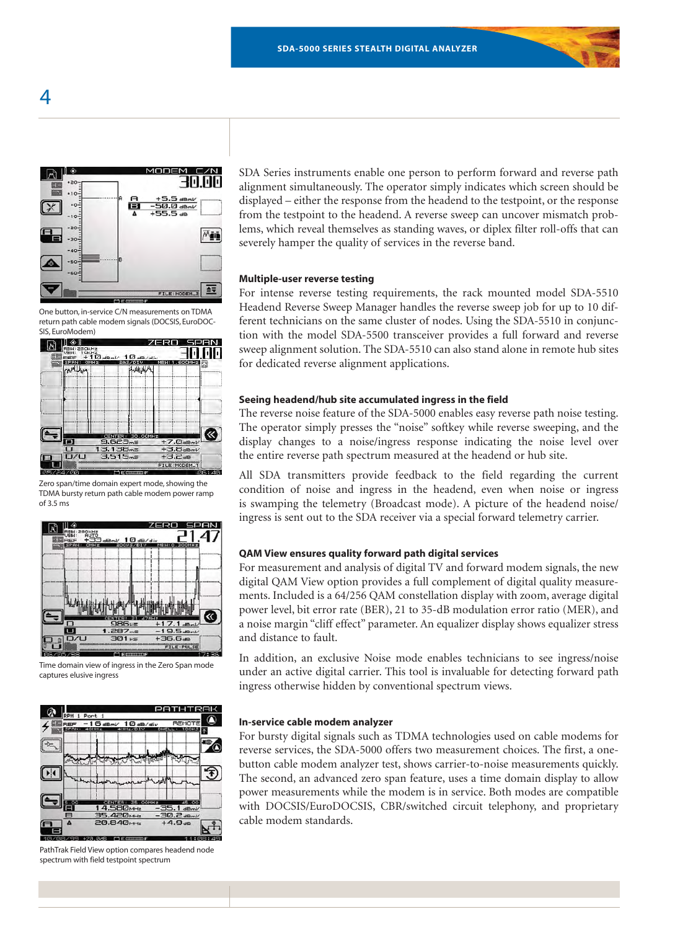

One button, in-service C/N measurements on TDMA return path cable modem signals (DOCSIS, EuroDOC-



Zero span/time domain expert mode, showing the TDMA bursty return path cable modem power ramp of 3.5 ms



Time domain view of ingress in the Zero Span mode captures elusive ingress



PathTrak Field View option compares headend node spectrum with field testpoint spectrum

SDA Series instruments enable one person to perform forward and reverse path alignment simultaneously. The operator simply indicates which screen should be displayed – either the response from the headend to the testpoint, or the response from the testpoint to the headend. A reverse sweep can uncover mismatch problems, which reveal themselves as standing waves, or diplex filter roll-offs that can severely hamper the quality of services in the reverse band.

#### **Multiple-user reverse testing**

For intense reverse testing requirements, the rack mounted model SDA-5510 Headend Reverse Sweep Manager handles the reverse sweep job for up to 10 different technicians on the same cluster of nodes. Using the SDA-5510 in conjunction with the model SDA-5500 transceiver provides a full forward and reverse sweep alignment solution. The SDA-5510 can also stand alone in remote hub sites for dedicated reverse alignment applications.

#### **Seeing headend/hub site accumulated ingress in the field**

The reverse noise feature of the SDA-5000 enables easy reverse path noise testing. The operator simply presses the "noise" softkey while reverse sweeping, and the display changes to a noise/ingress response indicating the noise level over the entire reverse path spectrum measured at the headend or hub site.

All SDA transmitters provide feedback to the field regarding the current condition of noise and ingress in the headend, even when noise or ingress is swamping the telemetry (Broadcast mode). A picture of the headend noise/ ingress is sent out to the SDA receiver via a special forward telemetry carrier.

#### **QAM View ensures quality forward path digital services**

For measurement and analysis of digital TV and forward modem signals, the new digital QAM View option provides a full complement of digital quality measurements. Included is a 64/256 QAM constellation display with zoom, average digital power level, bit error rate (BER), 21 to 35-dB modulation error ratio (MER), and a noise margin "cliff effect" parameter. An equalizer display shows equalizer stress and distance to fault.

In addition, an exclusive Noise mode enables technicians to see ingress/noise under an active digital carrier. This tool is invaluable for detecting forward path ingress otherwise hidden by conventional spectrum views.

#### **In-service cable modem analyzer**

For bursty digital signals such as TDMA technologies used on cable modems for reverse services, the SDA-5000 offers two measurement choices. The first, a onebutton cable modem analyzer test, shows carrier-to-noise measurements quickly. The second, an advanced zero span feature, uses a time domain display to allow power measurements while the modem is in service. Both modes are compatible with DOCSIS/EuroDOCSIS, CBR/switched circuit telephony, and proprietary cable modem standards.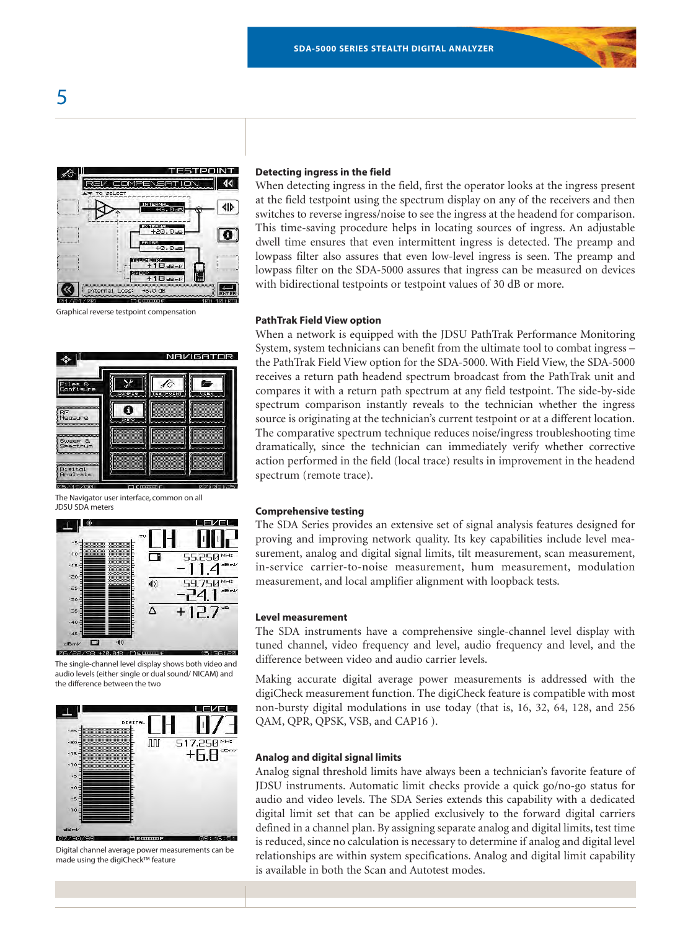

Graphical reverse testpoint compensation

# NAVIGATOR  $\mathbb{X}$ ⊀∂ ø  $\bullet$ RF<br>Measure Sw<mark>eer &</mark><br>Spectrum )igital<br>Analysis

The Navigator user interface, common on all JDSU SDA meters



The single-channel level display shows both video and audio levels (either single or dual sound/ NICAM) and the difference between the two



Digital channel average power measurements can be made using the digiCheck™ feature

#### **Detecting ingress in the field**

When detecting ingress in the field, first the operator looks at the ingress present at the field testpoint using the spectrum display on any of the receivers and then switches to reverse ingress/noise to see the ingress at the headend for comparison. This time-saving procedure helps in locating sources of ingress. An adjustable dwell time ensures that even intermittent ingress is detected. The preamp and lowpass filter also assures that even low-level ingress is seen. The preamp and lowpass filter on the SDA-5000 assures that ingress can be measured on devices with bidirectional testpoints or testpoint values of 30 dB or more.

#### **PathTrak Field View option**

When a network is equipped with the JDSU PathTrak Performance Monitoring System, system technicians can benefit from the ultimate tool to combat ingress – the PathTrak Field View option for the SDA-5000. With Field View, the SDA-5000 receives a return path headend spectrum broadcast from the PathTrak unit and compares it with a return path spectrum at any field testpoint. The side-by-side spectrum comparison instantly reveals to the technician whether the ingress source is originating at the technician's current testpoint or at a different location. The comparative spectrum technique reduces noise/ingress troubleshooting time dramatically, since the technician can immediately verify whether corrective action performed in the field (local trace) results in improvement in the headend spectrum (remote trace).

#### **Comprehensive testing**

The SDA Series provides an extensive set of signal analysis features designed for proving and improving network quality. Its key capabilities include level measurement, analog and digital signal limits, tilt measurement, scan measurement, in-service carrier-to-noise measurement, hum measurement, modulation measurement, and local amplifier alignment with loopback tests.

#### **Level measurement**

The SDA instruments have a comprehensive single-channel level display with tuned channel, video frequency and level, audio frequency and level, and the difference between video and audio carrier levels.

Making accurate digital average power measurements is addressed with the digiCheck measurement function. The digiCheck feature is compatible with most non-bursty digital modulations in use today (that is, 16, 32, 64, 128, and 256 QAM, QPR, QPSK, VSB, and CAP16 ).

# **Analog and digital signal limits**

Analog signal threshold limits have always been a technician's favorite feature of JDSU instruments. Automatic limit checks provide a quick go/no-go status for audio and video levels. The SDA Series extends this capability with a dedicated digital limit set that can be applied exclusively to the forward digital carriers defined in a channel plan. By assigning separate analog and digital limits, test time is reduced, since no calculation is necessary to determine if analog and digital level relationships are within system specifications. Analog and digital limit capability is available in both the Scan and Autotest modes.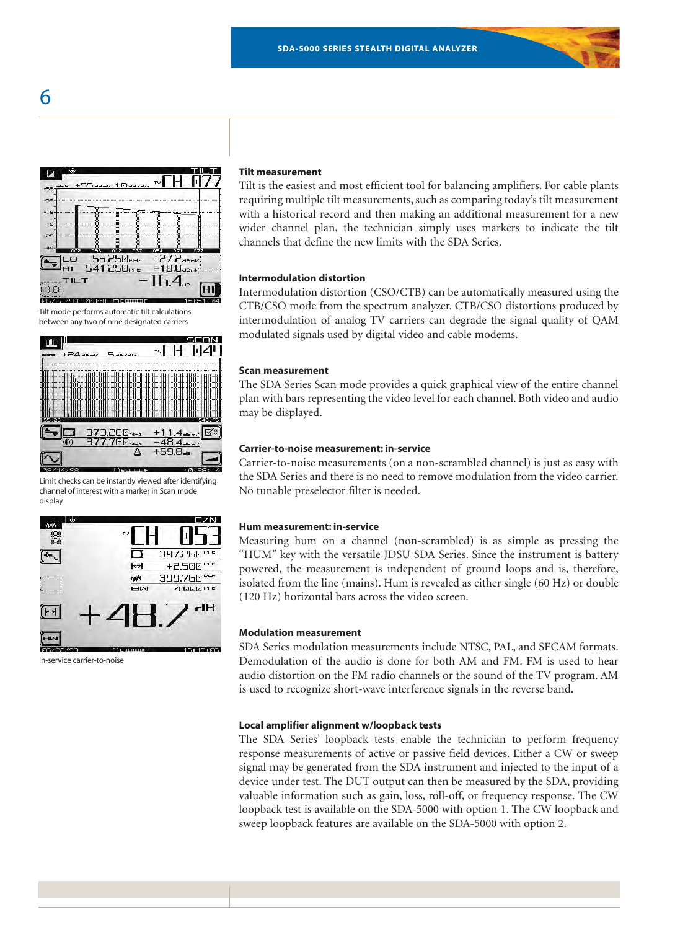

Tilt mode performs automatic tilt calculations between any two of nine designated carriers



Limit checks can be instantly viewed after identifying channel of interest with a marker in Scan mode display



In-service carrier-to-noise

### **Tilt measurement**

Tilt is the easiest and most efficient tool for balancing amplifiers. For cable plants requiring multiple tilt measurements, such as comparing today's tilt measurement with a historical record and then making an additional measurement for a new wider channel plan, the technician simply uses markers to indicate the tilt channels that define the new limits with the SDA Series.

# **Intermodulation distortion**

Intermodulation distortion (CSO/CTB) can be automatically measured using the CTB/CSO mode from the spectrum analyzer. CTB/CSO distortions produced by intermodulation of analog TV carriers can degrade the signal quality of QAM modulated signals used by digital video and cable modems.

#### **Scan measurement**

The SDA Series Scan mode provides a quick graphical view of the entire channel plan with bars representing the video level for each channel. Both video and audio may be displayed.

## **Carrier-to-noise measurement: in-service**

Carrier-to-noise measurements (on a non-scrambled channel) is just as easy with the SDA Series and there is no need to remove modulation from the video carrier. No tunable preselector filter is needed.

#### **Hum measurement: in-service**

Measuring hum on a channel (non-scrambled) is as simple as pressing the "HUM" key with the versatile JDSU SDA Series. Since the instrument is battery powered, the measurement is independent of ground loops and is, therefore, isolated from the line (mains). Hum is revealed as either single (60 Hz) or double (120 Hz) horizontal bars across the video screen.

#### **Modulation measurement**

SDA Series modulation measurements include NTSC, PAL, and SECAM formats. Demodulation of the audio is done for both AM and FM. FM is used to hear audio distortion on the FM radio channels or the sound of the TV program. AM is used to recognize short-wave interference signals in the reverse band.

#### **Local amplifier alignment w/loopback tests**

The SDA Series' loopback tests enable the technician to perform frequency response measurements of active or passive field devices. Either a CW or sweep signal may be generated from the SDA instrument and injected to the input of a device under test. The DUT output can then be measured by the SDA, providing valuable information such as gain, loss, roll-off, or frequency response. The CW loopback test is available on the SDA-5000 with option 1. The CW loopback and sweep loopback features are available on the SDA-5000 with option 2.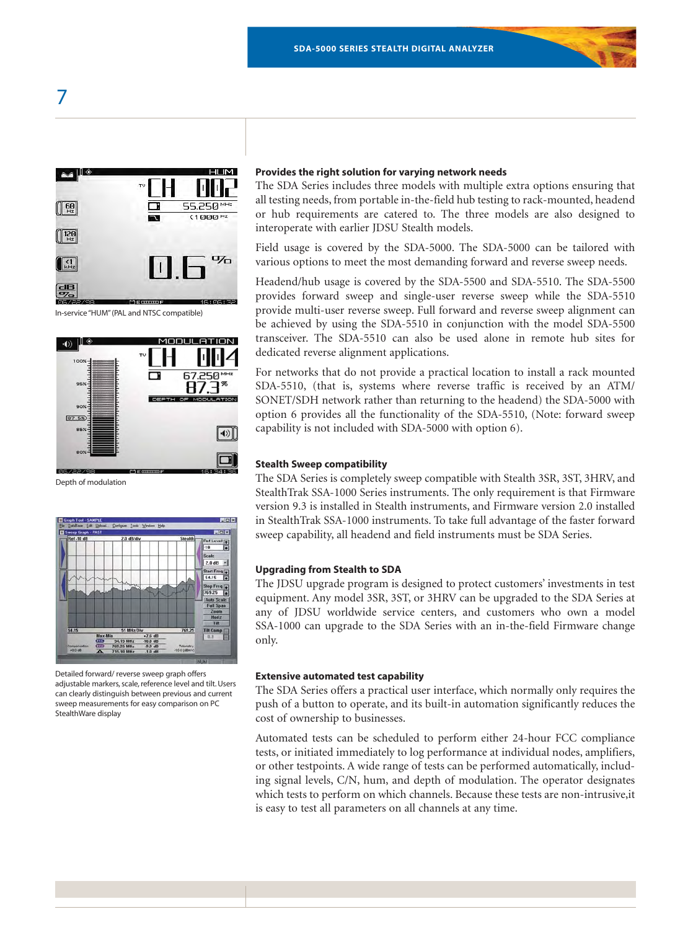

In-service "HUM" (PAL and NTSC compatible)



Depth of modulation



Detailed forward/ reverse sweep graph offers adjustable markers, scale, reference level and tilt. Users can clearly distinguish between previous and current sweep measurements for easy comparison on PC StealthWare display

#### **Provides the right solution for varying network needs**

The SDA Series includes three models with multiple extra options ensuring that all testing needs, from portable in-the-field hub testing to rack-mounted, headend or hub requirements are catered to. The three models are also designed to interoperate with earlier JDSU Stealth models.

Field usage is covered by the SDA-5000. The SDA-5000 can be tailored with various options to meet the most demanding forward and reverse sweep needs.

Headend/hub usage is covered by the SDA-5500 and SDA-5510. The SDA-5500 provides forward sweep and single-user reverse sweep while the SDA-5510 provide multi-user reverse sweep. Full forward and reverse sweep alignment can be achieved by using the SDA-5510 in conjunction with the model SDA-5500 transceiver. The SDA-5510 can also be used alone in remote hub sites for dedicated reverse alignment applications.

For networks that do not provide a practical location to install a rack mounted SDA-5510, (that is, systems where reverse traffic is received by an ATM/ SONET/SDH network rather than returning to the headend) the SDA-5000 with option 6 provides all the functionality of the SDA-5510, (Note: forward sweep capability is not included with SDA-5000 with option 6).

#### **Stealth Sweep compatibility**

The SDA Series is completely sweep compatible with Stealth 3SR, 3ST, 3HRV, and StealthTrak SSA-1000 Series instruments. The only requirement is that Firmware version 9.3 is installed in Stealth instruments, and Firmware version 2.0 installed in StealthTrak SSA-1000 instruments. To take full advantage of the faster forward sweep capability, all headend and field instruments must be SDA Series.

#### **Upgrading from Stealth to SDA**

The JDSU upgrade program is designed to protect customers' investments in test equipment. Any model 3SR, 3ST, or 3HRV can be upgraded to the SDA Series at any of JDSU worldwide service centers, and customers who own a model SSA-1000 can upgrade to the SDA Series with an in-the-field Firmware change only.

#### **Extensive automated test capability**

The SDA Series offers a practical user interface, which normally only requires the push of a button to operate, and its built-in automation significantly reduces the cost of ownership to businesses.

Automated tests can be scheduled to perform either 24-hour FCC compliance tests, or initiated immediately to log performance at individual nodes, amplifiers, or other testpoints. A wide range of tests can be performed automatically, including signal levels, C/N, hum, and depth of modulation. The operator designates which tests to perform on which channels. Because these tests are non-intrusive,it is easy to test all parameters on all channels at any time.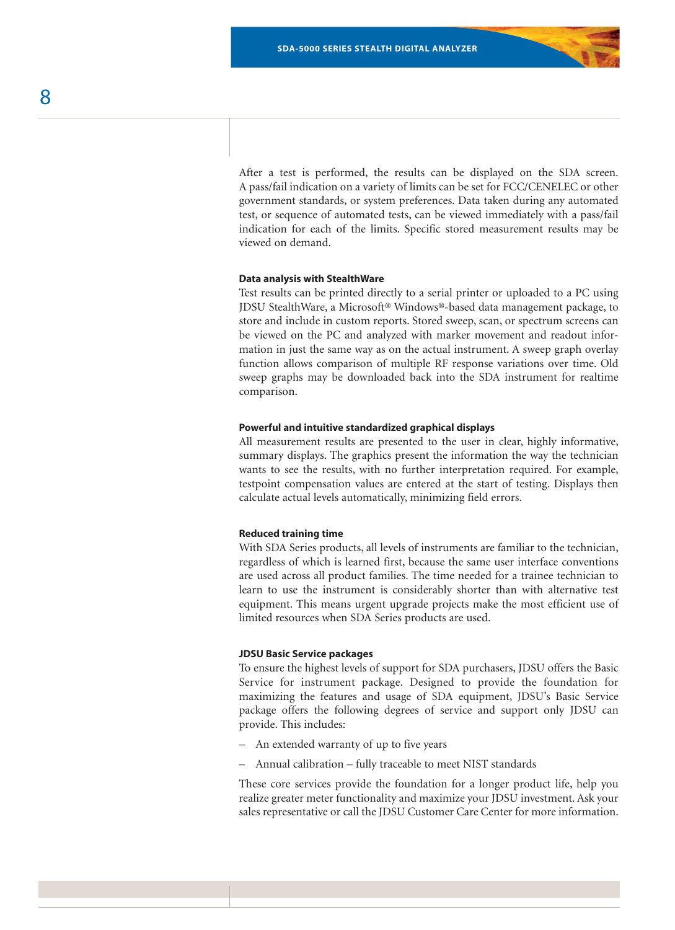After a test is performed, the results can be displayed on the SDA screen. A pass/fail indication on a variety of limits can be set for FCC/CENELEC or other government standards, or system preferences. Data taken during any automated test, or sequence of automated tests, can be viewed immediately with a pass/fail indication for each of the limits. Specific stored measurement results may be viewed on demand.

## **Data analysis with StealthWare**

Test results can be printed directly to a serial printer or uploaded to a PC using JDSU StealthWare, a Microsoft® Windows®-based data management package, to store and include in custom reports. Stored sweep, scan, or spectrum screens can be viewed on the PC and analyzed with marker movement and readout information in just the same way as on the actual instrument. A sweep graph overlay function allows comparison of multiple RF response variations over time. Old sweep graphs may be downloaded back into the SDA instrument for realtime comparison.

#### **Powerful and intuitive standardized graphical displays**

All measurement results are presented to the user in clear, highly informative, summary displays. The graphics present the information the way the technician wants to see the results, with no further interpretation required. For example, testpoint compensation values are entered at the start of testing. Displays then calculate actual levels automatically, minimizing field errors.

#### **Reduced training time**

With SDA Series products, all levels of instruments are familiar to the technician, regardless of which is learned first, because the same user interface conventions are used across all product families. The time needed for a trainee technician to learn to use the instrument is considerably shorter than with alternative test equipment. This means urgent upgrade projects make the most efficient use of limited resources when SDA Series products are used.

### **JDSU Basic Service packages**

To ensure the highest levels of support for SDA purchasers, JDSU offers the Basic Service for instrument package. Designed to provide the foundation for maximizing the features and usage of SDA equipment, JDSU's Basic Service package offers the following degrees of service and support only JDSU can provide. This includes:

- An extended warranty of up to five years
- Annual calibration fully traceable to meet NIST standards

These core services provide the foundation for a longer product life, help you realize greater meter functionality and maximize your JDSU investment. Ask your sales representative or call the JDSU Customer Care Center for more information.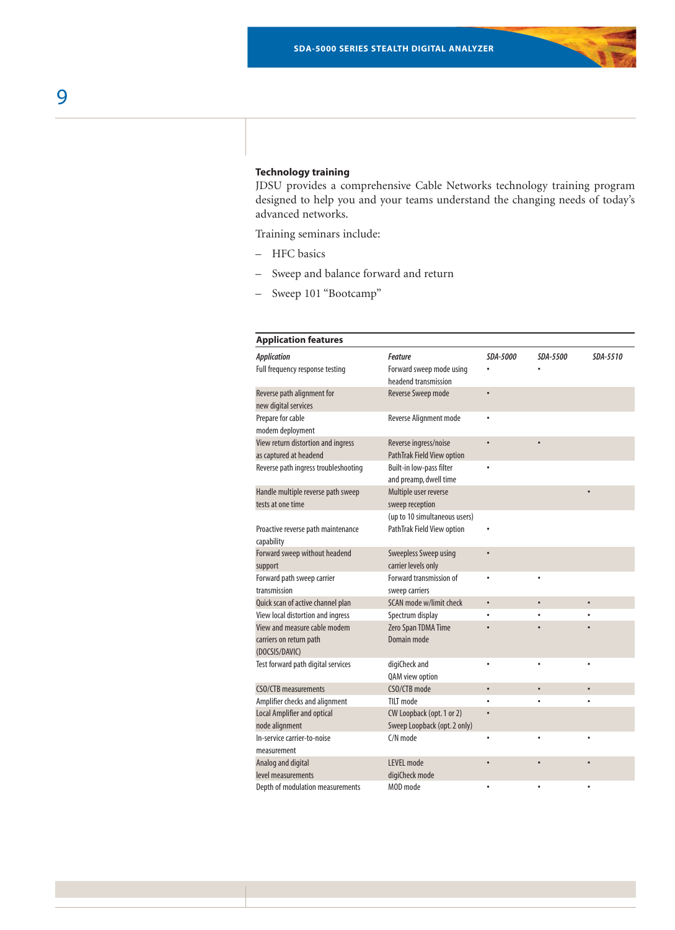# **Technology training**

JDSU provides a comprehensive Cable Networks technology training program designed to help you and your teams understand the changing needs of today's advanced networks.

Training seminars include:

- HFC basics
- Sweep and balance forward and return
- Sweep 101 "Bootcamp"

| <b>Application features</b>                      |                                                  |           |          |           |
|--------------------------------------------------|--------------------------------------------------|-----------|----------|-----------|
| <b>Application</b>                               | Feature                                          | SDA-5000  | SDA-5500 | SDA-5510  |
| Full frequency response testing                  | Forward sweep mode using<br>headend transmission |           |          |           |
| Reverse path alignment for                       | Reverse Sweep mode                               | $\bullet$ |          |           |
| new digital services                             |                                                  |           |          |           |
| Prepare for cable<br>modem deployment            | Reverse Alignment mode                           | $\bullet$ |          |           |
| View return distortion and ingress               | Reverse ingress/noise                            |           |          |           |
| as captured at headend                           | PathTrak Field View option                       |           |          |           |
| Reverse path ingress troubleshooting             | Built-in low-pass filter                         |           |          |           |
|                                                  | and preamp, dwell time                           |           |          |           |
| Handle multiple reverse path sweep               | Multiple user reverse                            |           |          |           |
| tests at one time                                | sweep reception                                  |           |          |           |
|                                                  | (up to 10 simultaneous users)                    |           |          |           |
| Proactive reverse path maintenance<br>capability | PathTrak Field View option                       |           |          |           |
| Forward sweep without headend                    | Sweepless Sweep using                            |           |          |           |
| support                                          | carrier levels only                              |           |          |           |
| Forward path sweep carrier                       | Forward transmission of                          | $\bullet$ |          |           |
| transmission                                     | sweep carriers                                   |           |          |           |
| Quick scan of active channel plan                | SCAN mode w/limit check                          | $\bullet$ |          | $\bullet$ |
| View local distortion and ingress                | Spectrum display                                 |           |          |           |
| View and measure cable modem                     | Zero Span TDMA Time                              |           |          |           |
| carriers on return path                          | Domain mode                                      |           |          |           |
| (DOCSIS/DAVIC)                                   |                                                  |           |          |           |
| Test forward path digital services               | digiCheck and<br>QAM view option                 |           |          |           |
| <b>CSO/CTB</b> measurements                      | CSO/CTB mode                                     | $\bullet$ |          |           |
| Amplifier checks and alignment                   | TILT mode                                        |           |          |           |
| Local Amplifier and optical                      | CW Loopback (opt. 1 or 2)                        |           |          |           |
| node alignment                                   | Sweep Loopback (opt. 2 only)                     |           |          |           |
| In-service carrier-to-noise                      | C/N mode                                         |           |          |           |
| measurement                                      |                                                  |           |          |           |
| Analog and digital                               | <b>LEVEL</b> mode                                |           |          |           |
| level measurements                               | digiCheck mode                                   |           |          |           |
| Depth of modulation measurements                 | MOD mode                                         |           |          |           |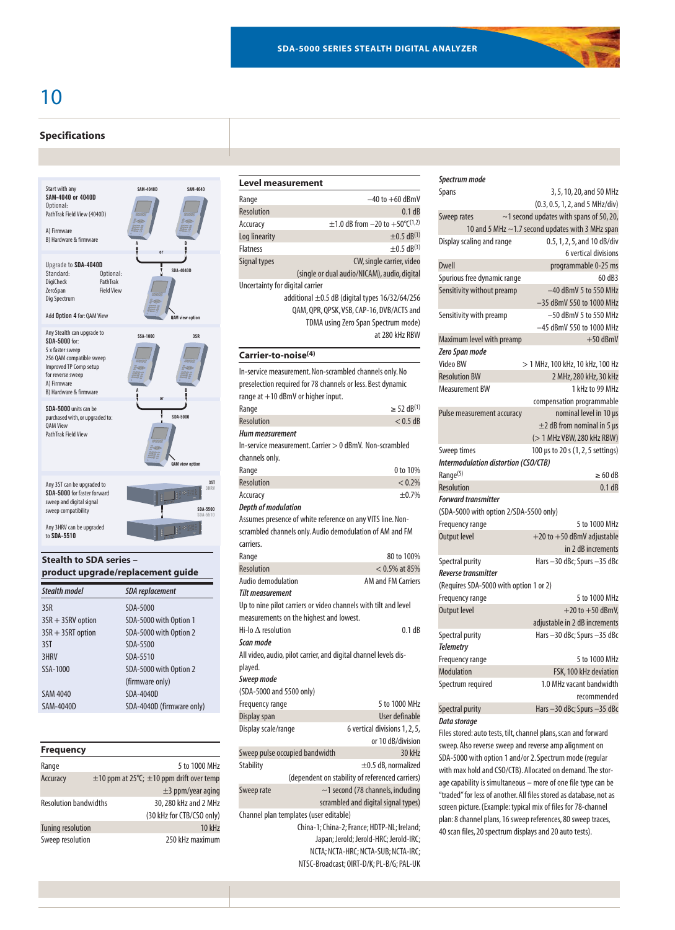# 10

### **Specifications**



# **Stealth to SDA series – product upgrade/replacement guide**

| <b>Stealth model</b> | <b>SDA</b> replacement    |
|----------------------|---------------------------|
| 3SR                  | SDA-5000                  |
| $3SR + 3SRV$ option  | SDA-5000 with Option 1    |
| $3SR + 3SRT$ option  | SDA-5000 with Option 2    |
| 3ST                  | SDA-5500                  |
| 3HRV                 | SDA-5510                  |
| SSA-1000             | SDA-5000 with Option 2    |
|                      | (firmware only)           |
| <b>SAM 4040</b>      | SDA-4040D                 |
| SAM-4040D            | SDA-4040D (firmware only) |
|                      |                           |

| <b>Frequency</b>             |                                                    |
|------------------------------|----------------------------------------------------|
| Range                        | 5 to 1000 MHz                                      |
| Accuracy                     | $\pm$ 10 ppm at 25°C; $\pm$ 10 ppm drift over temp |
|                              | $\pm$ 3 ppm/year aging                             |
| <b>Resolution bandwidths</b> | 30, 280 kHz and 2 MHz                              |
|                              | (30 kHz for CTB/CSO only)                          |
| <b>Tuning resolution</b>     | <b>10 kHz</b>                                      |
| Sweep resolution             | 250 kHz maximum                                    |

| Level measurement               |                                                         |  |
|---------------------------------|---------------------------------------------------------|--|
| Range                           | $-40$ to $+60$ dBmV                                     |  |
| Resolution                      | 0.1 dB                                                  |  |
| Accuracy                        | $\pm$ 1.0 dB from -20 to +50°C(1,2)                     |  |
| Log linearity                   | $±0.5$ dB <sup>(1)</sup>                                |  |
| <b>Flatness</b>                 | $\pm 0.5$ dB <sup>(3)</sup>                             |  |
| Signal types                    | CW, single carrier, video                               |  |
|                                 | (single or dual audio/NICAM), audio, digital            |  |
| Uncertainty for digital carrier |                                                         |  |
|                                 | additional $\pm 0.5$ dB (digital types $16/32/64/256$   |  |
|                                 | QAM, QPR, QPSK, VSB, CAP-16, DVB/ACTS and               |  |
|                                 | TDMA using Zero Span Spectrum mode)                     |  |
|                                 | at 280 kHz RBW                                          |  |
| Carrier-to-noise <sup>(4)</sup> |                                                         |  |
|                                 | In-service measurement. Non-scrambled channels only. No |  |

| ווו־אכו זוכם וווכם שוכוווכות. היטוו־אכום וווטוכט כוום ווווכוא טוווז. היט |
|--------------------------------------------------------------------------|
| preselection required for 78 channels or less. Best dynamic              |
| range at +10 dBmV or higher input.                                       |

| Range                                                            | $\ge$ 52 dB <sup>(1)</sup> |
|------------------------------------------------------------------|----------------------------|
| <b>Resolution</b>                                                | $< 0.5$ dB                 |
| <b>Hum measurement</b>                                           |                            |
| In-service measurement. Carrier > 0 dBmV. Non-scrambled          |                            |
| channels only.                                                   |                            |
| Range                                                            | 0 to 10%                   |
| <b>Resolution</b>                                                | < 0.2%                     |
| Accuracy                                                         | $+0.7%$                    |
| <b>Depth of modulation</b>                                       |                            |
| Assumes presence of white reference on any VITS line. Non-       |                            |
| scrambled channels only. Audio demodulation of AM and FM         |                            |
| carriers.                                                        |                            |
| Range                                                            | 80 to 100%                 |
| <b>Resolution</b>                                                | $< 0.5\%$ at 85%           |
| Audio demodulation                                               | <b>AM and FM Carriers</b>  |
| <b>Tilt measurement</b>                                          |                            |
| Up to nine pilot carriers or video channels with tilt and level  |                            |
| measurements on the highest and lowest.                          |                            |
| $Hi$ -lo $\Lambda$ resolution                                    | 0.1 dB                     |
| Scan mode                                                        |                            |
| All video, audio, pilot carrier, and digital channel levels dis- |                            |
| played.                                                          |                            |
| Sweep mode                                                       |                            |
| (SDA-5000 and 5500 only)                                         |                            |
| Frequency range                                                  | 5 to 1000 MHz              |

| il cyuchcy lunyc               |                                        | וויו טעטו עו                                    |
|--------------------------------|----------------------------------------|-------------------------------------------------|
| Display span                   |                                        | User definable                                  |
| Display scale/range            |                                        | 6 vertical divisions 1, 2, 5,                   |
|                                |                                        | or 10 dB/division                               |
| Sweep pulse occupied bandwidth |                                        | 30 kHz                                          |
| Stability                      |                                        | $\pm$ 0.5 dB, normalized                        |
|                                |                                        | (dependent on stability of referenced carriers) |
| Sweep rate                     |                                        | $\sim$ 1 second (78 channels, including         |
|                                |                                        | scrambled and digital signal types)             |
|                                | Channel plan templates (user editable) |                                                 |
|                                |                                        | China-1; China-2; France; HDTP-NL; Ireland;     |
|                                |                                        | Japan; Jerold; Jerold-HRC; Jerold-IRC;          |
|                                |                                        | NCTA: NCTA-HRC: NCTA-SUB: NCTA-IRC:             |
|                                |                                        | NTSC-Broadcast; OIRT-D/K; PL-B/G; PAL-UK        |

| Spectrum mode                          |                                                  |
|----------------------------------------|--------------------------------------------------|
| <b>Spans</b>                           | 3, 5, 10, 20, and 50 MHz                         |
|                                        | (0.3, 0.5, 1, 2, and 5 MHz/div)                  |
| Sweep rates                            | $\sim$ 1 second updates with spans of 50, 20,    |
|                                        | 10 and 5 MHz ~1.7 second updates with 3 MHz span |
| Display scaling and range              | 0.5, 1, 2, 5, and 10 dB/div                      |
|                                        | 6 vertical divisions                             |
| <b>Dwell</b>                           | programmable 0-25 ms                             |
| Spurious free dynamic range            | 60 dB3                                           |
| Sensitivity without preamp             | $-40$ dBmV 5 to 550 MHz                          |
|                                        | -35 dBmV 550 to 1000 MHz                         |
| Sensitivity with preamp                | $-50$ dBmV 5 to 550 MHz                          |
|                                        | -45 dBmV 550 to 1000 MHz                         |
| Maximum level with preamp              | $+50$ dBmV                                       |
| Zero Span mode                         |                                                  |
| Video BW                               | > 1 MHz, 100 kHz, 10 kHz, 100 Hz                 |
| <b>Resolution BW</b>                   | 2 MHz, 280 kHz, 30 kHz                           |
| <b>Measurement BW</b>                  | 1 kHz to 99 MHz                                  |
|                                        | compensation programmable                        |
| Pulse measurement accuracy             | nominal level in 10 µs                           |
|                                        | $\pm$ 2 dB from nominal in 5 µs                  |
|                                        | (> 1 MHz VBW, 280 kHz RBW)                       |
| Sweep times                            | 100 µs to 20 s (1, 2, 5 settings)                |
| Intermodulation distortion (CSO/CTB)   |                                                  |
| Range <sup>(5)</sup>                   | $\geq 60$ dB                                     |
| <b>Resolution</b>                      | 0.1 dB                                           |
| <b>Forward transmitter</b>             |                                                  |
| (SDA-5000 with option 2/SDA-5500 only) |                                                  |
| Frequency range                        | 5 to 1000 MHz                                    |
| <b>Output level</b>                    | $+20$ to $+50$ dBmV adjustable                   |
|                                        | in 2 dB increments                               |
| Spectral purity                        | Hars-30 dBc; Spurs-35 dBc                        |
| Reverse transmitter                    |                                                  |
| (Requires SDA-5000 with option 1 or 2) |                                                  |
| Frequency range                        | 5 to 1000 MHz                                    |
| <b>Output level</b>                    | $+20$ to $+50$ dBmV,                             |
|                                        | adjustable in 2 dB increments                    |
| Spectral purity                        | Hars-30 dBc; Spurs-35 dBc                        |
| <b>Telemetry</b>                       |                                                  |
| Frequency range                        | 5 to 1000 MHz                                    |
| <b>Modulation</b>                      | FSK, 100 kHz deviation                           |
| Spectrum required                      | 1.0 MHz vacant bandwidth                         |
|                                        | recommended                                      |
| Spectral purity                        | Hars -30 dBc: Spurs -35 dBc                      |
|                                        |                                                  |

#### *Data storage*

Files stored: auto tests, tilt, channel plans, scan and forward sweep. Also reverse sweep and reverse amp alignment on SDA-5000 with option 1 and/or 2. Spectrum mode (regular with max hold and CSO/CTB). Allocated on demand.The storage capability is simultaneous – more of one file type can be "traded" for less of another. All files stored as database, not as screen picture. (Example: typical mix of files for 78-channel plan: 8 channel plans, 16 sweep references, 80 sweep traces, 40 scan files, 20 spectrum displays and 20 auto tests).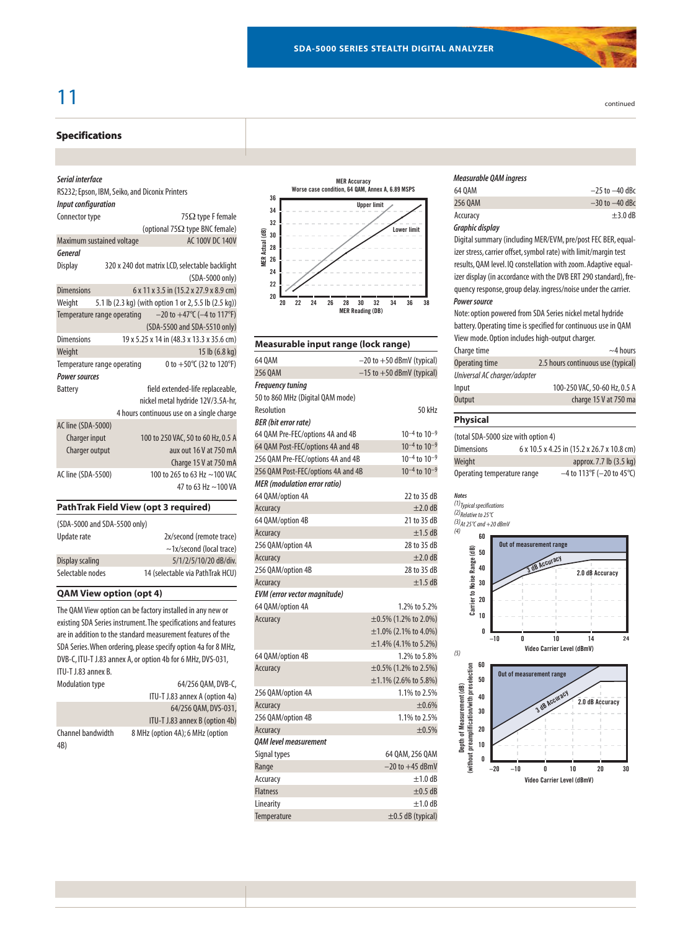# 11 continued

# **Specifications**

#### *Serial interface*

| RS232; Epson, IBM, Seiko, and Diconix Printers |                                                                   |
|------------------------------------------------|-------------------------------------------------------------------|
| <b>Input configuration</b>                     |                                                                   |
| Connector type                                 | $75\Omega$ type F female                                          |
|                                                | (optional 75 $\Omega$ type BNC female)                            |
| Maximum sustained voltage                      | AC 100V DC 140V                                                   |
|                                                |                                                                   |
|                                                | 320 x 240 dot matrix LCD, selectable backlight<br>(SDA-5000 only) |
|                                                | 6 x 11 x 3.5 in (15.2 x 27.9 x 8.9 cm)                            |
|                                                | 5.1 lb (2.3 kg) (with option 1 or 2, 5.5 lb (2.5 kg))             |
| Temperature range operating                    | $-20$ to $+47$ °C ( $-4$ to 117°F)                                |
|                                                | (SDA-5500 and SDA-5510 only)                                      |
|                                                | 19 x 5.25 x 14 in (48.3 x 13.3 x 35.6 cm)                         |
|                                                | 15 lb (6.8 kg)                                                    |
| Temperature range operating                    | 0 to $+50^{\circ}$ C (32 to 120°F)                                |
| <b>Power sources</b>                           |                                                                   |
|                                                | field extended-life replaceable,                                  |
|                                                | nickel metal hydride 12V/3.5A-hr,                                 |
|                                                | 4 hours continuous use on a single charge                         |
| AC line (SDA-5000)                             |                                                                   |
| Charger input                                  | 100 to 250 VAC, 50 to 60 Hz, 0.5 A                                |
| Charger output                                 | aux out 16 V at 750 mA                                            |
|                                                | Charge 15 V at 750 mA                                             |
| AC line (SDA-5500)                             | 100 to 265 to 63 Hz ~100 VAC                                      |
|                                                | 47 to 63 Hz ~100 VA                                               |
|                                                |                                                                   |

# **PathTrak Field View (opt 3 required)**

| (SDA-5000 and SDA-5500 only) |                                  |
|------------------------------|----------------------------------|
| Update rate                  | 2x/second (remote trace)         |
|                              | $\sim$ 1x/second (local trace)   |
| Display scaling              | 5/1/2/5/10/20 dB/div.            |
| Selectable nodes             | 14 (selectable via PathTrak HCU) |

## **QAM View option (opt 4)**

The QAM View option can be factory installed in any new or existing SDA Series instrument.The specifications and features are in addition to the standard measurement features of the SDA Series.When ordering, please specify option 4a for 8 MHz, DVB-C, ITU-T J.83 annex A, or option 4b for 6 MHz, DVS-031, ITU-T J.83 annex B.<br>Modulation type 64/256 0AM, DVB-C

| <b><i>INVOLUTURION LYPL</i></b> | $V^{\dagger}L$                   |
|---------------------------------|----------------------------------|
|                                 | ITU-T J.83 annex A (option 4a)   |
|                                 | 64/256 OAM, DVS-031,             |
|                                 | ITU-T J.83 annex B (option 4b)   |
| Channel bandwidth<br>4B)        | 8 MHz (option 4A); 6 MHz (option |



| Measurable input range (lock range) |                               |  |
|-------------------------------------|-------------------------------|--|
| 64 0 A M                            | $-20$ to $+50$ dBmV (typical) |  |
| 256 OAM                             | $-15$ to $+50$ dBmV (typical) |  |
| <b>Frequency tuning</b>             |                               |  |
| 50 to 860 MHz (Digital QAM mode)    |                               |  |
| Resolution                          | 50 kHz                        |  |
| <b>BER</b> (bit error rate)         |                               |  |
| 64 QAM Pre-FEC/options 4A and 4B    | $10^{-4}$ to $10^{-9}$        |  |
| 64 QAM Post-FEC/options 4A and 4B   | $10^{-4}$ to $10^{-9}$        |  |
| 256 QAM Pre-FEC/options 4A and 4B   | $10^{-4}$ to $10^{-9}$        |  |
| 256 QAM Post-FEC/options 4A and 4B  | $10^{-4}$ to $10^{-9}$        |  |
| <b>MER</b> (modulation error ratio) |                               |  |
| 64 QAM/option 4A                    | 22 to 35 dB                   |  |
| Accuracy                            | $\pm 2.0$ dB                  |  |
| 64 QAM/option 4B                    | 21 to 35 dB                   |  |
| Accuracy                            | $±1.5$ dB                     |  |
| 256 QAM/option 4A                   | 28 to 35 dB                   |  |
| Accuracy                            | $\pm 2.0$ dB                  |  |
| 256 QAM/option 4B                   | 28 to 35 dB                   |  |
| Accuracy                            | $±1.5$ dB                     |  |
| <b>EVM</b> (error vector magnitude) |                               |  |
| 64 QAM/option 4A                    | 1.2% to 5.2%                  |  |
| Accuracy                            | $\pm 0.5\%$ (1.2% to 2.0%)    |  |
|                                     | $\pm 1.0\%$ (2.1% to 4.0%)    |  |
|                                     | $\pm 1.4\%$ (4.1% to 5.2%)    |  |
| 64 QAM/option 4B                    | 1.2% to 5.8%                  |  |
| Accuracy                            | $\pm 0.5\%$ (1.2% to 2.5%)    |  |
|                                     | $\pm 1.1\%$ (2.6% to 5.8%)    |  |
| 256 QAM/option 4A                   | 1.1% to 2.5%                  |  |
| Accuracy                            | ±0.6%                         |  |
| 256 QAM/option 4B                   | 1.1% to 2.5%                  |  |
| Accuracy                            | ±0.5%                         |  |
| <b>OAM level measurement</b>        |                               |  |
| Signal types                        | 64 QAM, 256 QAM               |  |
| Range                               | $-20$ to $+45$ dBmV           |  |
| Accuracy                            | $\pm 1.0$ dB                  |  |
| <b>Flatness</b>                     | $\pm 0.5$ dB                  |  |
| Linearity                           | $±1.0$ dB                     |  |
| Temperature                         | $\pm$ 0.5 dB (typical)        |  |

| <b>Measurable QAM ingress</b> |                    |
|-------------------------------|--------------------|
| 64 0 AM                       | $-25$ to $-40$ dBc |
| 256 0AM                       | $-30$ to $-40$ dBc |
| Accuracy                      | $\pm$ 3.0 dB       |
| Graphic display               |                    |

Digital summary (including MER/EVM, pre/post FEC BER, equalizer stress, carrier offset, symbol rate) with limit/margin test results, QAM level. IQ constellation with zoom. Adaptive equalizer display (in accordance with the DVB ERT 290 standard), frequency response, group delay. ingress/noise under the carrier. *Power source*

Note: option powered from SDA Series nickel metal hydride battery. Operating time is specified for continuous use in QAM View mode. Option includes high-output charger.

| Charge time                  | $\sim$ 4 hours                     |
|------------------------------|------------------------------------|
| Operating time               | 2.5 hours continuous use (typical) |
| Universal AC charger/adapter |                                    |
| Input                        | 100-250 VAC, 50-60 Hz, 0.5 A       |
| Output                       | charge 15 V at 750 ma              |
|                              |                                    |

#### **Physical**

| (total SDA-5000 size with option 4) |                                            |
|-------------------------------------|--------------------------------------------|
| Dimensions                          | 6 x 10.5 x 4.25 in (15.2 x 26.7 x 10.8 cm) |
| Weiaht                              | approx. 7.7 lb (3.5 kg)                    |
| Operating temperature range         | $-4$ to 113°F (-20 to 45°C)                |

# *Notes*

*(1)Typical specifications (2)Relative to 25°C*